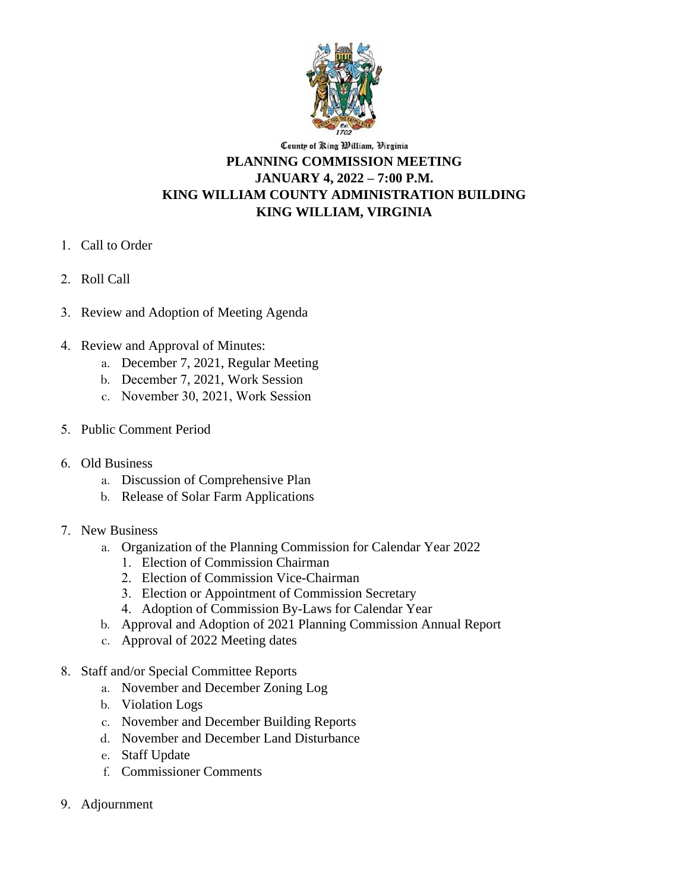

#### County of Ring William, Virginia **PLANNING COMMISSION MEETING JANUARY 4, 2022 – 7:00 P.M. KING WILLIAM COUNTY ADMINISTRATION BUILDING KING WILLIAM, VIRGINIA**

- 1. Call to Order
- 2. Roll Call
- 3. Review and Adoption of Meeting Agenda
- 4. Review and Approval of Minutes:
	- a. December 7, 2021, Regular Meeting
	- b. December 7, 2021, Work Session
	- c. November 30, 2021, Work Session
- 5. Public Comment Period
- 6. Old Business
	- a. Discussion of Comprehensive Plan
	- b. Release of Solar Farm Applications
- 7. New Business
	- a. Organization of the Planning Commission for Calendar Year 2022
		- 1. Election of Commission Chairman
		- 2. Election of Commission Vice-Chairman
		- 3. Election or Appointment of Commission Secretary
		- 4. Adoption of Commission By-Laws for Calendar Year
	- b. Approval and Adoption of 2021 Planning Commission Annual Report
	- c. Approval of 2022 Meeting dates
- 8. Staff and/or Special Committee Reports
	- a. November and December Zoning Log
	- b. Violation Logs
	- c. November and December Building Reports
	- d. November and December Land Disturbance
	- e. Staff Update
	- f. Commissioner Comments
- 9. Adjournment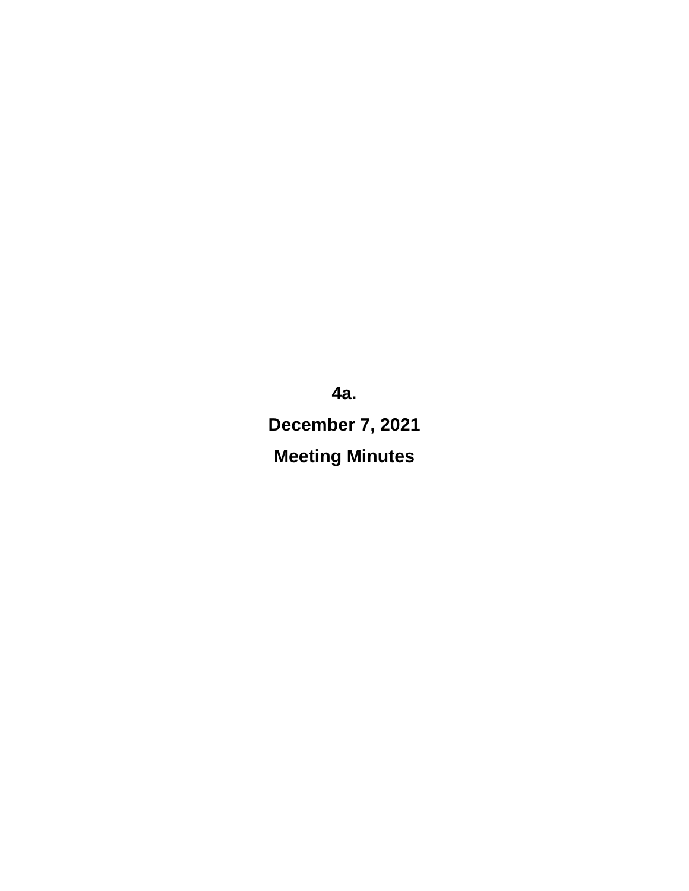**4a. December 7, 2021 Meeting Minutes**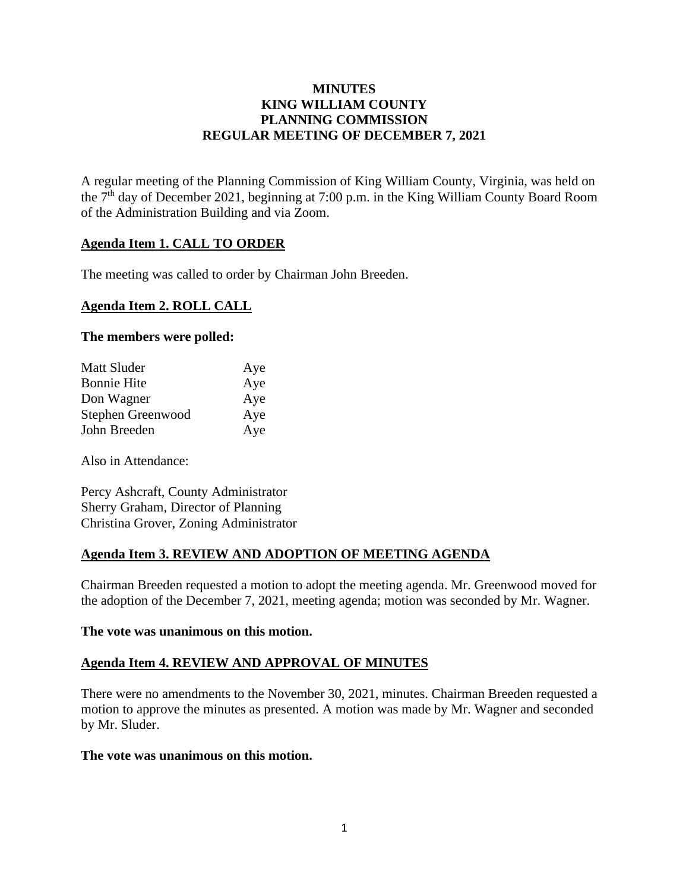#### **MINUTES KING WILLIAM COUNTY PLANNING COMMISSION REGULAR MEETING OF DECEMBER 7, 2021**

A regular meeting of the Planning Commission of King William County, Virginia, was held on the  $7<sup>th</sup>$  day of December 2021, beginning at 7:00 p.m. in the King William County Board Room of the Administration Building and via Zoom.

#### **Agenda Item 1. CALL TO ORDER**

The meeting was called to order by Chairman John Breeden.

#### **Agenda Item 2. ROLL CALL**

#### **The members were polled:**

| Matt Sluder        | Aye |
|--------------------|-----|
| <b>Bonnie Hite</b> | Aye |
| Don Wagner         | Aye |
| Stephen Greenwood  | Aye |
| John Breeden       | Aye |

Also in Attendance:

Percy Ashcraft, County Administrator Sherry Graham, Director of Planning Christina Grover, Zoning Administrator

#### **Agenda Item 3. REVIEW AND ADOPTION OF MEETING AGENDA**

Chairman Breeden requested a motion to adopt the meeting agenda. Mr. Greenwood moved for the adoption of the December 7, 2021, meeting agenda; motion was seconded by Mr. Wagner.

#### **The vote was unanimous on this motion.**

#### **Agenda Item 4. REVIEW AND APPROVAL OF MINUTES**

There were no amendments to the November 30, 2021, minutes. Chairman Breeden requested a motion to approve the minutes as presented. A motion was made by Mr. Wagner and seconded by Mr. Sluder.

#### **The vote was unanimous on this motion.**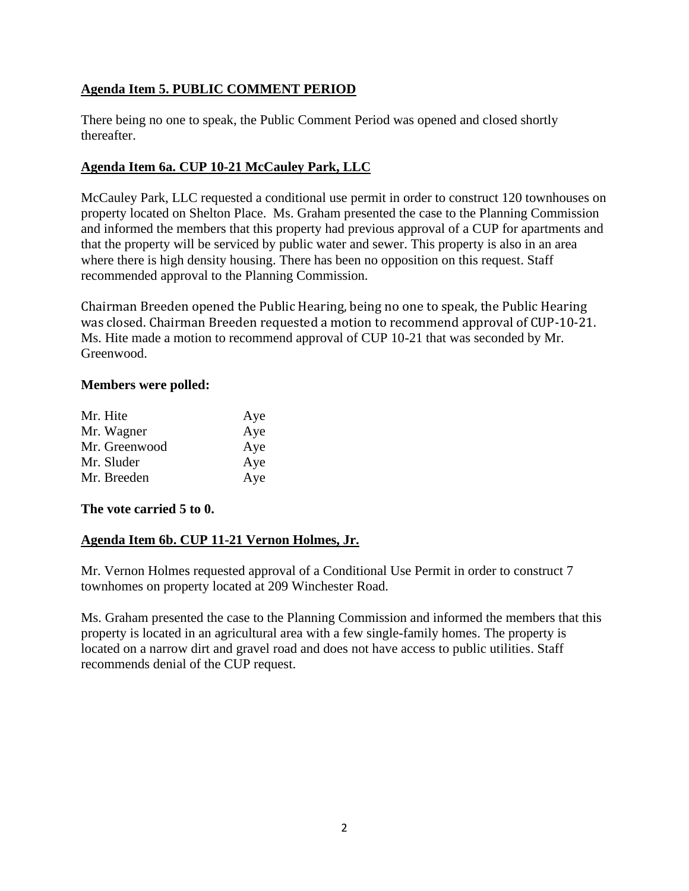#### **Agenda Item 5. PUBLIC COMMENT PERIOD**

There being no one to speak, the Public Comment Period was opened and closed shortly thereafter.

#### **Agenda Item 6a. CUP 10-21 McCauley Park, LLC**

McCauley Park, LLC requested a conditional use permit in order to construct 120 townhouses on property located on Shelton Place. Ms. Graham presented the case to the Planning Commission and informed the members that this property had previous approval of a CUP for apartments and that the property will be serviced by public water and sewer. This property is also in an area where there is high density housing. There has been no opposition on this request. Staff recommended approval to the Planning Commission.

Chairman Breeden opened the Public Hearing, being no one to speak, the Public Hearing was closed. Chairman Breeden requested a motion to recommend approval of CUP-10-21. Ms. Hite made a motion to recommend approval of CUP 10-21 that was seconded by Mr. Greenwood.

#### **Members were polled:**

| Aye |
|-----|
| Aye |
| Aye |
| Aye |
| Aye |
|     |

**The vote carried 5 to 0.**

#### **Agenda Item 6b. CUP 11-21 Vernon Holmes, Jr.**

Mr. Vernon Holmes requested approval of a Conditional Use Permit in order to construct 7 townhomes on property located at 209 Winchester Road.

Ms. Graham presented the case to the Planning Commission and informed the members that this property is located in an agricultural area with a few single-family homes. The property is located on a narrow dirt and gravel road and does not have access to public utilities. Staff recommends denial of the CUP request.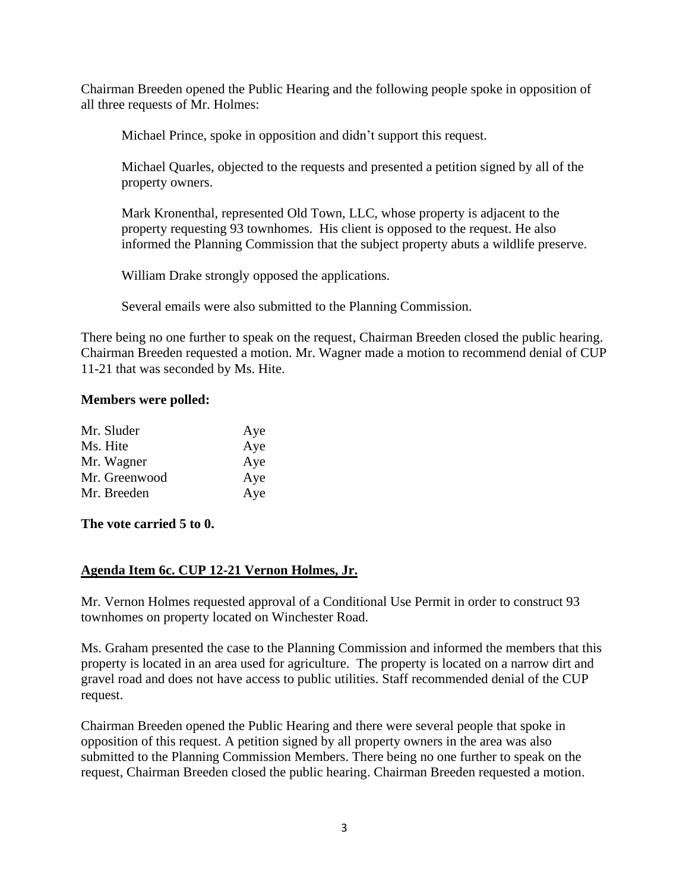Chairman Breeden opened the Public Hearing and the following people spoke in opposition of all three requests of Mr. Holmes:

Michael Prince, spoke in opposition and didn't support this request.

Michael Quarles, objected to the requests and presented a petition signed by all of the property owners.

Mark Kronenthal, represented Old Town, LLC, whose property is adjacent to the property requesting 93 townhomes. His client is opposed to the request. He also informed the Planning Commission that the subject property abuts a wildlife preserve.

William Drake strongly opposed the applications.

Several emails were also submitted to the Planning Commission.

There being no one further to speak on the request, Chairman Breeden closed the public hearing. Chairman Breeden requested a motion. Mr. Wagner made a motion to recommend denial of CUP 11-21 that was seconded by Ms. Hite.

#### **Members were polled:**

| Mr. Sluder    | Aye |
|---------------|-----|
| Ms. Hite      | Aye |
| Mr. Wagner    | Aye |
| Mr. Greenwood | Aye |
| Mr. Breeden   | Aye |

**The vote carried 5 to 0.**

#### **Agenda Item 6c. CUP 12-21 Vernon Holmes, Jr.**

Mr. Vernon Holmes requested approval of a Conditional Use Permit in order to construct 93 townhomes on property located on Winchester Road.

Ms. Graham presented the case to the Planning Commission and informed the members that this property is located in an area used for agriculture. The property is located on a narrow dirt and gravel road and does not have access to public utilities. Staff recommended denial of the CUP request.

Chairman Breeden opened the Public Hearing and there were several people that spoke in opposition of this request. A petition signed by all property owners in the area was also submitted to the Planning Commission Members. There being no one further to speak on the request, Chairman Breeden closed the public hearing. Chairman Breeden requested a motion.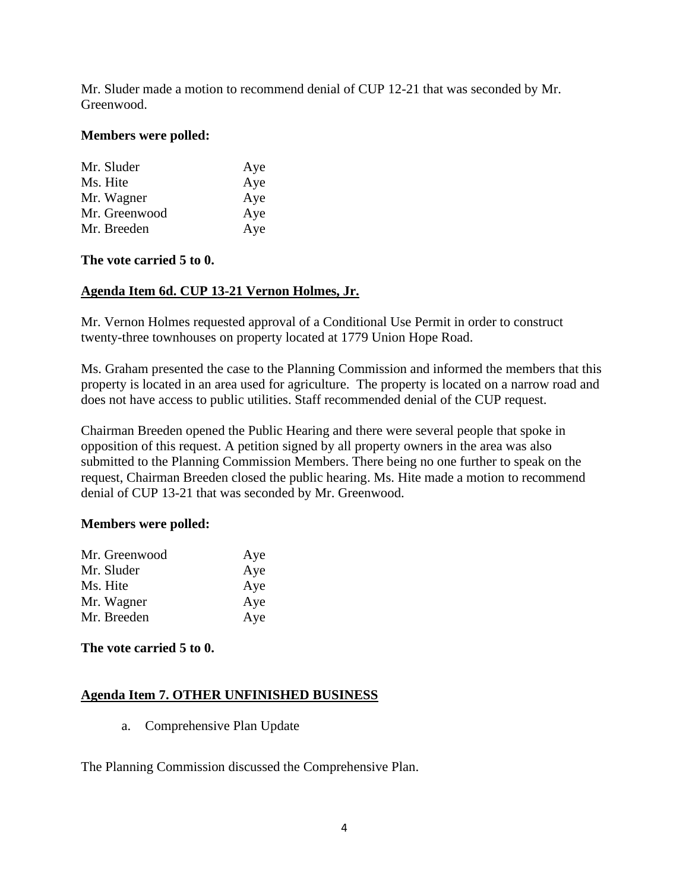Mr. Sluder made a motion to recommend denial of CUP 12-21 that was seconded by Mr. Greenwood.

#### **Members were polled:**

| Mr. Sluder    | Aye |
|---------------|-----|
| Ms. Hite      | Aye |
| Mr. Wagner    | Aye |
| Mr. Greenwood | Aye |
| Mr. Breeden   | Aye |

#### **The vote carried 5 to 0.**

#### **Agenda Item 6d. CUP 13-21 Vernon Holmes, Jr.**

Mr. Vernon Holmes requested approval of a Conditional Use Permit in order to construct twenty-three townhouses on property located at 1779 Union Hope Road.

Ms. Graham presented the case to the Planning Commission and informed the members that this property is located in an area used for agriculture. The property is located on a narrow road and does not have access to public utilities. Staff recommended denial of the CUP request.

Chairman Breeden opened the Public Hearing and there were several people that spoke in opposition of this request. A petition signed by all property owners in the area was also submitted to the Planning Commission Members. There being no one further to speak on the request, Chairman Breeden closed the public hearing. Ms. Hite made a motion to recommend denial of CUP 13-21 that was seconded by Mr. Greenwood.

#### **Members were polled:**

| Mr. Greenwood | Aye |
|---------------|-----|
| Mr. Sluder    | Aye |
| Ms. Hite      | Aye |
| Mr. Wagner    | Aye |
| Mr. Breeden   | Aye |

**The vote carried 5 to 0.**

#### **Agenda Item 7. OTHER UNFINISHED BUSINESS**

a. Comprehensive Plan Update

The Planning Commission discussed the Comprehensive Plan.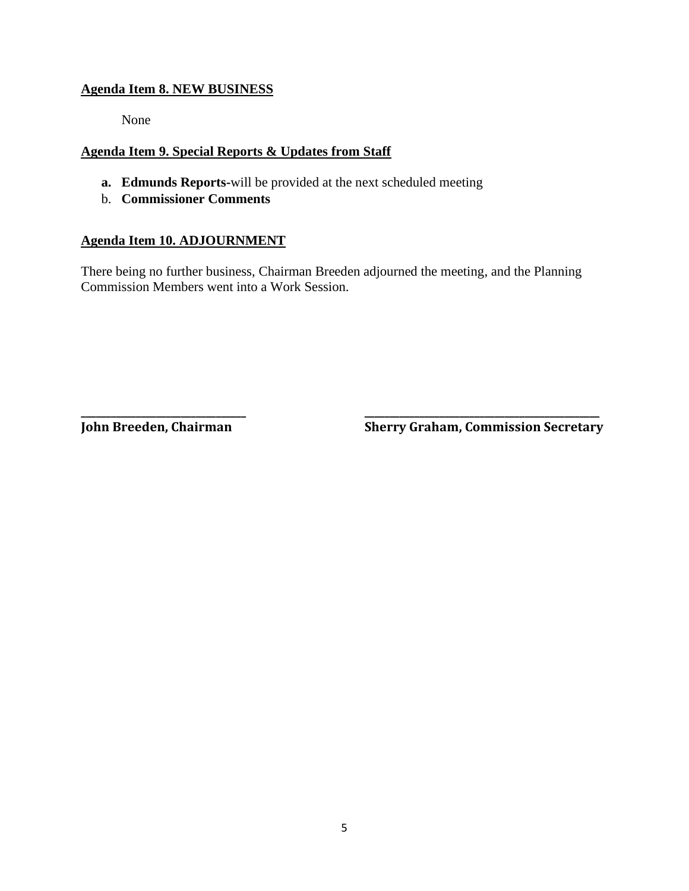#### **Agenda Item 8. NEW BUSINESS**

None

#### **Agenda Item 9. Special Reports & Updates from Staff**

- **a. Edmunds Reports-**will be provided at the next scheduled meeting
- b. **Commissioner Comments**

#### **Agenda Item 10. ADJOURNMENT**

There being no further business, Chairman Breeden adjourned the meeting, and the Planning Commission Members went into a Work Session.

**\_\_\_\_\_\_\_\_\_\_\_\_\_\_\_\_\_\_\_\_\_\_\_\_\_\_\_\_\_\_\_\_\_ \_\_\_\_\_\_\_\_\_\_\_\_\_\_\_\_\_\_\_\_\_\_\_\_\_\_\_\_\_\_\_\_\_\_\_\_\_\_\_\_\_\_\_\_\_\_\_**

**John Breeden, Chairman Sherry Graham, Commission Secretary**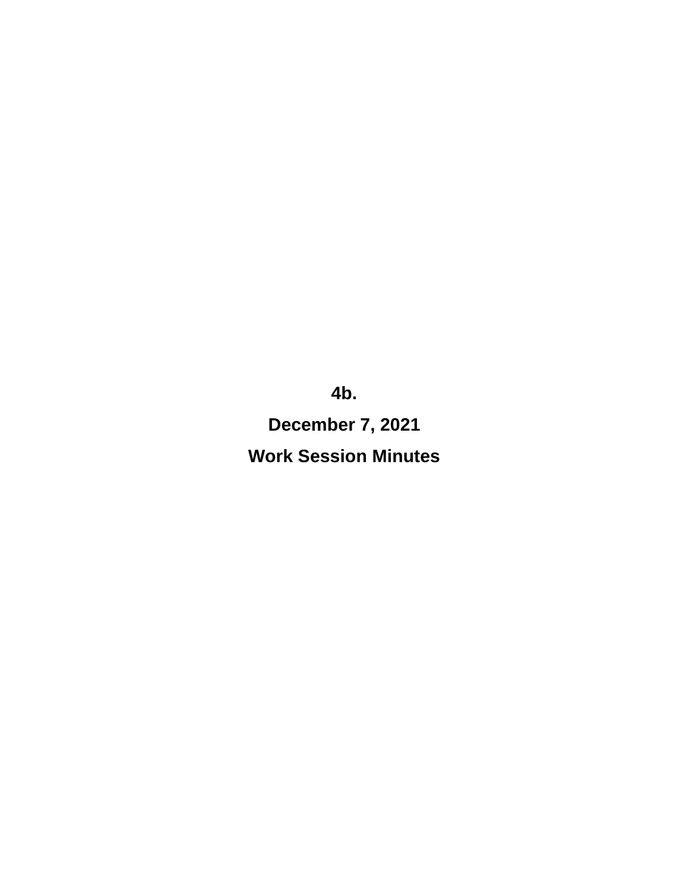**4b.**

**December 7, 2021** 

**Work Session Minutes**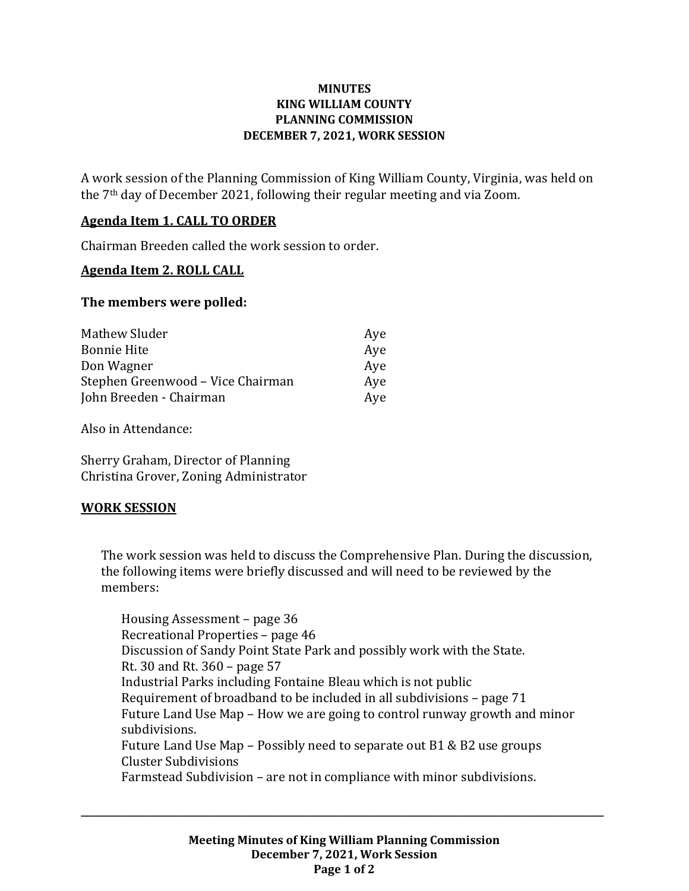#### **MINUTES KING WILLIAM COUNTY PLANNING COMMISSION DECEMBER 7, 2021, WORK SESSION**

A work session of the Planning Commission of King William County, Virginia, was held on the 7th day of December 2021, following their regular meeting and via Zoom.

#### **Agenda Item 1. CALL TO ORDER**

Chairman Breeden called the work session to order.

#### **Agenda Item 2. ROLL CALL**

#### **The members were polled:**

| Mathew Sluder                     | Aye |
|-----------------------------------|-----|
| <b>Bonnie Hite</b>                | Aye |
| Don Wagner                        | Aye |
| Stephen Greenwood - Vice Chairman | Aye |
| John Breeden - Chairman           | Aye |

Also in Attendance:

Sherry Graham, Director of Planning Christina Grover, Zoning Administrator

#### **WORK SESSION**

The work session was held to discuss the Comprehensive Plan. During the discussion, the following items were briefly discussed and will need to be reviewed by the members:

Housing Assessment – page 36 Recreational Properties – page 46 Discussion of Sandy Point State Park and possibly work with the State. Rt. 30 and Rt. 360 – page 57 Industrial Parks including Fontaine Bleau which is not public Requirement of broadband to be included in all subdivisions – page 71 Future Land Use Map – How we are going to control runway growth and minor subdivisions. Future Land Use Map – Possibly need to separate out B1 & B2 use groups Cluster Subdivisions Farmstead Subdivision – are not in compliance with minor subdivisions.

**\_\_\_\_\_\_\_\_\_\_\_\_\_\_\_\_\_\_\_\_\_\_\_\_\_\_\_\_\_\_\_\_\_\_\_\_\_\_\_\_\_\_\_\_\_\_\_\_\_\_\_\_\_\_\_\_\_\_\_\_\_\_\_\_\_\_\_\_\_\_\_\_\_\_\_\_\_\_\_\_\_\_\_\_\_\_\_\_\_\_\_\_\_\_\_\_\_\_\_\_\_\_\_\_\_\_\_\_\_\_\_\_\_\_**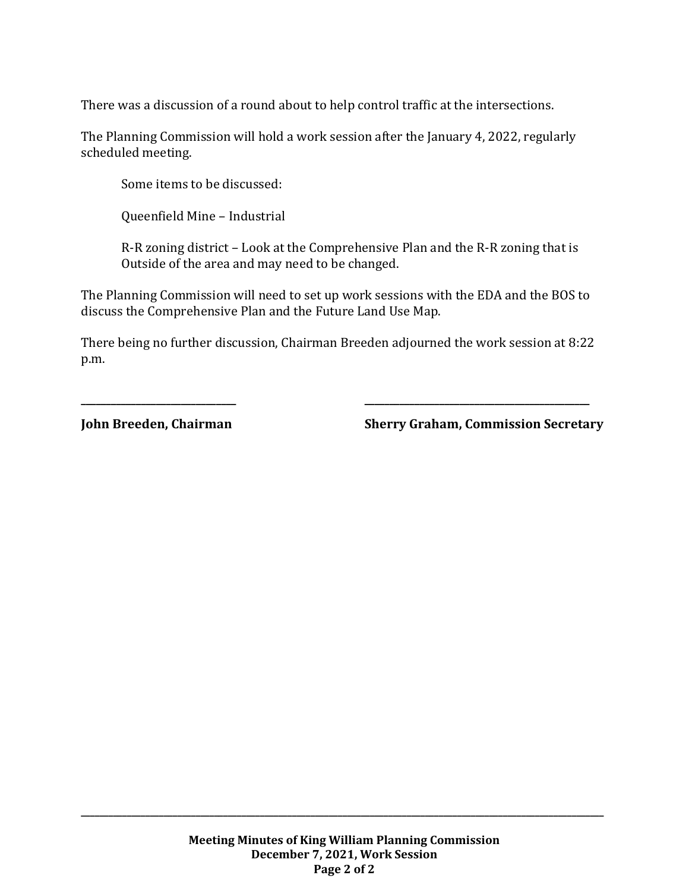There was a discussion of a round about to help control traffic at the intersections.

The Planning Commission will hold a work session after the January 4, 2022, regularly scheduled meeting.

Some items to be discussed:

Queenfield Mine – Industrial

R-R zoning district – Look at the Comprehensive Plan and the R-R zoning that is Outside of the area and may need to be changed.

The Planning Commission will need to set up work sessions with the EDA and the BOS to discuss the Comprehensive Plan and the Future Land Use Map.

There being no further discussion, Chairman Breeden adjourned the work session at 8:22 p.m.

**\_\_\_\_\_\_\_\_\_\_\_\_\_\_\_\_\_\_\_\_\_\_\_\_\_\_\_\_\_\_\_ \_\_\_\_\_\_\_\_\_\_\_\_\_\_\_\_\_\_\_\_\_\_\_\_\_\_\_\_\_\_\_\_\_\_\_\_\_\_\_\_\_\_\_\_\_**

**John Breeden, Chairman Sherry Graham, Commission Secretary**

**\_\_\_\_\_\_\_\_\_\_\_\_\_\_\_\_\_\_\_\_\_\_\_\_\_\_\_\_\_\_\_\_\_\_\_\_\_\_\_\_\_\_\_\_\_\_\_\_\_\_\_\_\_\_\_\_\_\_\_\_\_\_\_\_\_\_\_\_\_\_\_\_\_\_\_\_\_\_\_\_\_\_\_\_\_\_\_\_\_\_\_\_\_\_\_\_\_\_\_\_\_\_\_\_\_\_\_\_\_\_\_\_\_\_**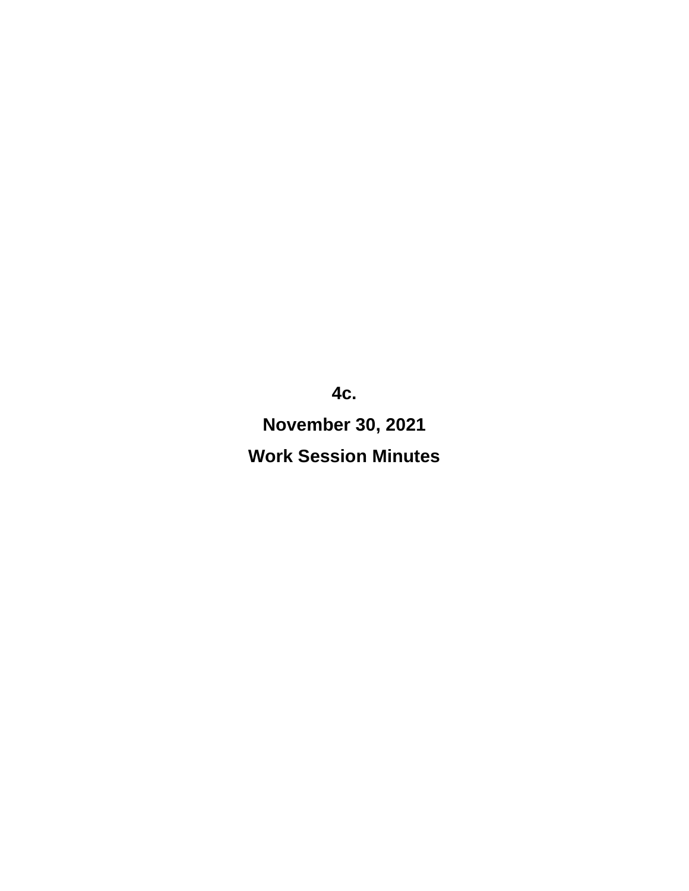**4c. November 30, 2021 Work Session Minutes**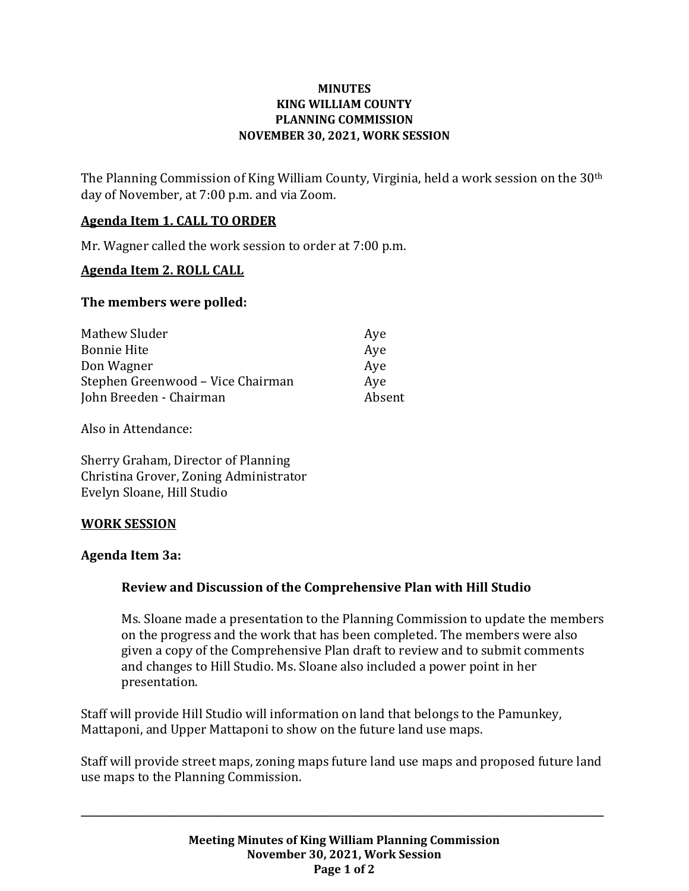#### **MINUTES KING WILLIAM COUNTY PLANNING COMMISSION NOVEMBER 30, 2021, WORK SESSION**

The Planning Commission of King William County, Virginia, held a work session on the 30th day of November, at 7:00 p.m. and via Zoom.

#### **Agenda Item 1. CALL TO ORDER**

Mr. Wagner called the work session to order at 7:00 p.m.

#### **Agenda Item 2. ROLL CALL**

#### **The members were polled:**

| Mathew Sluder                     | Aye    |
|-----------------------------------|--------|
| <b>Bonnie Hite</b>                | Aye    |
| Don Wagner                        | Aye    |
| Stephen Greenwood – Vice Chairman | Ave    |
| John Breeden - Chairman           | Absent |

Also in Attendance:

Sherry Graham, Director of Planning Christina Grover, Zoning Administrator Evelyn Sloane, Hill Studio

#### **WORK SESSION**

#### **Agenda Item 3a:**

#### **Review and Discussion of the Comprehensive Plan with Hill Studio**

Ms. Sloane made a presentation to the Planning Commission to update the members on the progress and the work that has been completed. The members were also given a copy of the Comprehensive Plan draft to review and to submit comments and changes to Hill Studio. Ms. Sloane also included a power point in her presentation.

Staff will provide Hill Studio will information on land that belongs to the Pamunkey, Mattaponi, and Upper Mattaponi to show on the future land use maps.

Staff will provide street maps, zoning maps future land use maps and proposed future land use maps to the Planning Commission.

**\_\_\_\_\_\_\_\_\_\_\_\_\_\_\_\_\_\_\_\_\_\_\_\_\_\_\_\_\_\_\_\_\_\_\_\_\_\_\_\_\_\_\_\_\_\_\_\_\_\_\_\_\_\_\_\_\_\_\_\_\_\_\_\_\_\_\_\_\_\_\_\_\_\_\_\_\_\_\_\_\_\_\_\_\_\_\_\_\_\_\_\_\_\_\_\_\_\_\_\_\_\_\_\_\_\_\_\_\_\_\_\_\_\_**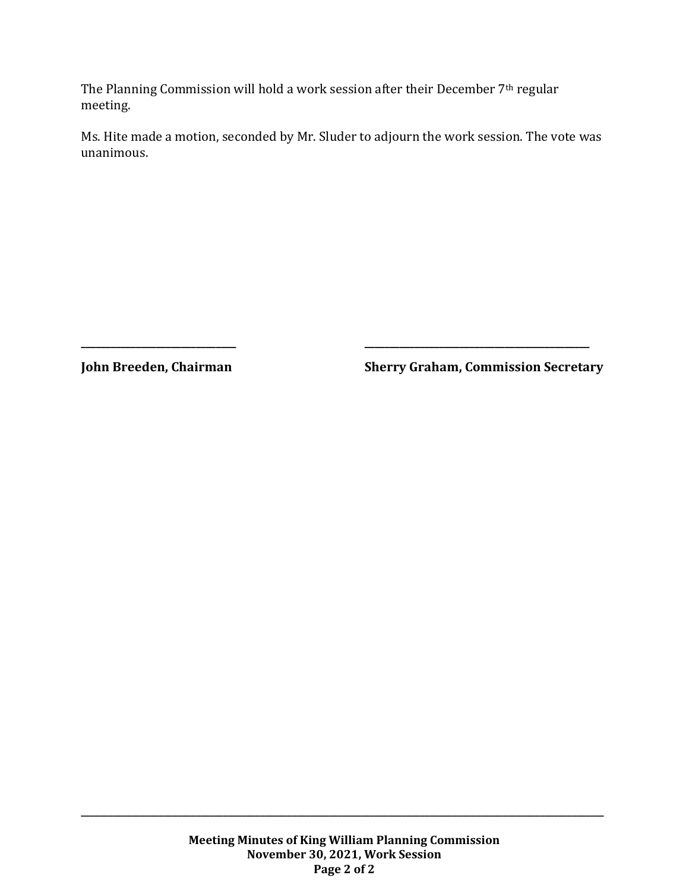The Planning Commission will hold a work session after their December 7th regular meeting.

Ms. Hite made a motion, seconded by Mr. Sluder to adjourn the work session. The vote was unanimous.

**\_\_\_\_\_\_\_\_\_\_\_\_\_\_\_\_\_\_\_\_\_\_\_\_\_\_\_\_\_\_\_ \_\_\_\_\_\_\_\_\_\_\_\_\_\_\_\_\_\_\_\_\_\_\_\_\_\_\_\_\_\_\_\_\_\_\_\_\_\_\_\_\_\_\_\_\_**

**John Breeden, Chairman Sherry Graham, Commission Secretary**

**\_\_\_\_\_\_\_\_\_\_\_\_\_\_\_\_\_\_\_\_\_\_\_\_\_\_\_\_\_\_\_\_\_\_\_\_\_\_\_\_\_\_\_\_\_\_\_\_\_\_\_\_\_\_\_\_\_\_\_\_\_\_\_\_\_\_\_\_\_\_\_\_\_\_\_\_\_\_\_\_\_\_\_\_\_\_\_\_\_\_\_\_\_\_\_\_\_\_\_\_\_\_\_\_\_\_\_\_\_\_\_\_\_\_**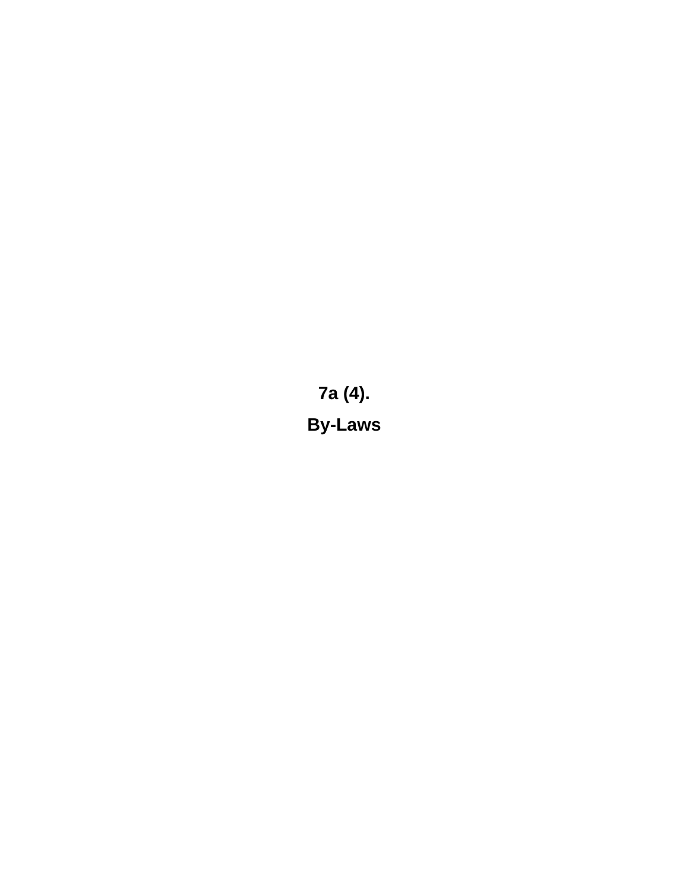**7a (4). By-Laws**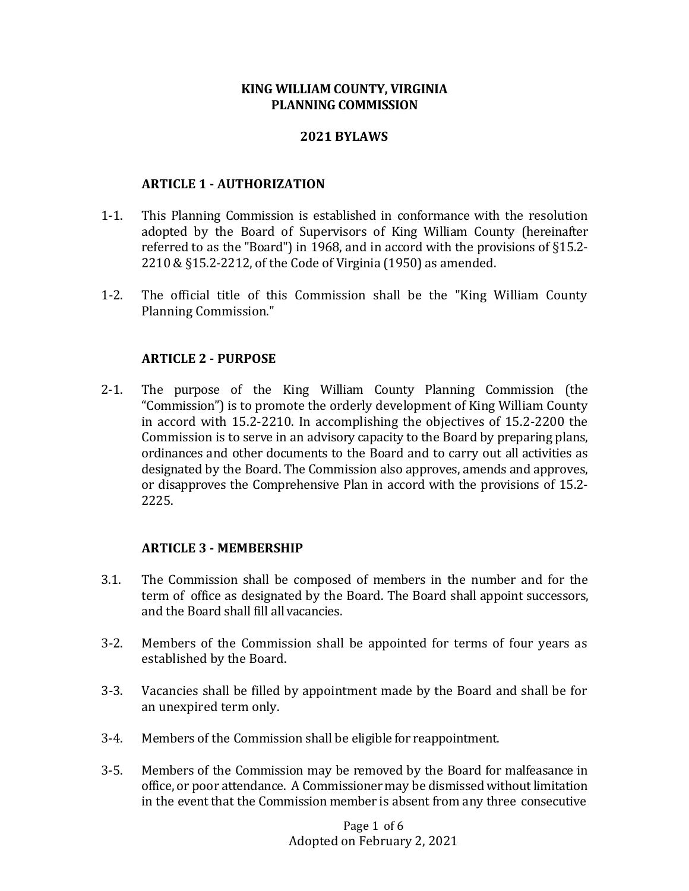#### **KING WILLIAM COUNTY, VIRGINIA PLANNING COMMISSION**

#### **2021 BYLAWS**

#### **ARTICLE 1 - AUTHORIZATION**

- 1-1. This Planning Commission is established in conformance with the resolution adopted by the Board of Supervisors of King William County (hereinafter referred to as the "Board") in 1968, and in accord with the provisions of §15.2- 2210 & §15.2-2212, of the Code of Virginia (1950) as amended.
- 1-2. The official title of this Commission shall be the "King William County Planning Commission."

#### **ARTICLE 2 - PURPOSE**

2-1. The purpose of the King William County Planning Commission (the "Commission") is to promote the orderly development of King William County in accord with 15.2-2210. In accomplishing the objectives of 15.2-2200 the Commission is to serve in an advisory capacity to the Board by preparing plans, ordinances and other documents to the Board and to carry out all activities as designated by the Board. The Commission also approves, amends and approves, or disapproves the Comprehensive Plan in accord with the provisions of 15.2- 2225.

#### **ARTICLE 3 - MEMBERSHIP**

- 3.1. The Commission shall be composed of members in the number and for the term of office as designated by the Board. The Board shall appoint successors, and the Board shall fill allvacancies.
- 3-2. Members of the Commission shall be appointed for terms of four years as established by the Board.
- 3-3. Vacancies shall be filled by appointment made by the Board and shall be for an unexpired term only.
- 3-4. Members of the Commission shall be eligible for reappointment.
- 3-5. Members of the Commission may be removed by the Board for malfeasance in office, or poor attendance. A Commissioner may be dismissed without limitation in the event that the Commission member is absent from any three consecutive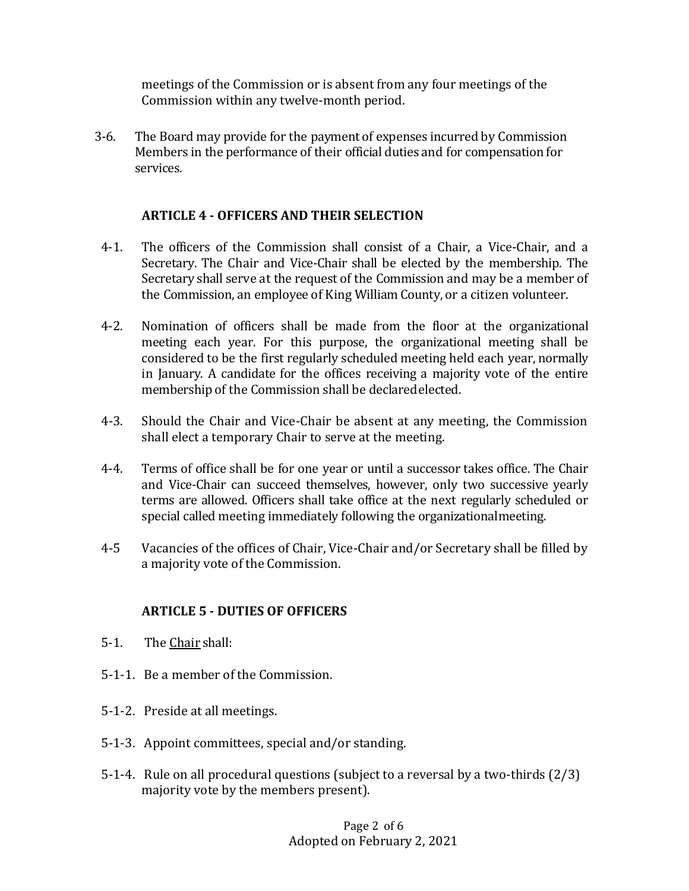meetings of the Commission or is absent from any four meetings of the Commission within any twelve-month period.

3-6. The Board may provide for the payment of expenses incurred by Commission Members in the performance of their official duties and for compensation for services.

#### **ARTICLE 4 - OFFICERS AND THEIR SELECTION**

- 4-1. The officers of the Commission shall consist of a Chair, a Vice-Chair, and a Secretary. The Chair and Vice-Chair shall be elected by the membership. The Secretary shall serve at the request of the Commission and may be a member of the Commission, an employee of King William County, or a citizen volunteer.
- 4-2. Nomination of officers shall be made from the floor at the organizational meeting each year. For this purpose, the organizational meeting shall be considered to be the first regularly scheduled meeting held each year, normally in January. A candidate for the offices receiving a majority vote of the entire membership of the Commission shall be declaredelected.
- 4-3. Should the Chair and Vice-Chair be absent at any meeting, the Commission shall elect a temporary Chair to serve at the meeting.
- 4-4. Terms of office shall be for one year or until a successor takes office. The Chair and Vice-Chair can succeed themselves, however, only two successive yearly terms are allowed. Officers shall take office at the next regularly scheduled or special called meeting immediately following the organizationalmeeting.
- 4-5 Vacancies of the offices of Chair, Vice-Chair and/or Secretary shall be filled by a majority vote of the Commission.

#### **ARTICLE 5 - DUTIES OF OFFICERS**

- 5-1. The Chair shall:
- 5-1-1. Be a member of the Commission.
- 5-1-2. Preside at all meetings.
- 5-1-3. Appoint committees, special and/or standing.
- 5-1-4. Rule on all procedural questions (subject to a reversal by a two-thirds (2/3) majority vote by the members present).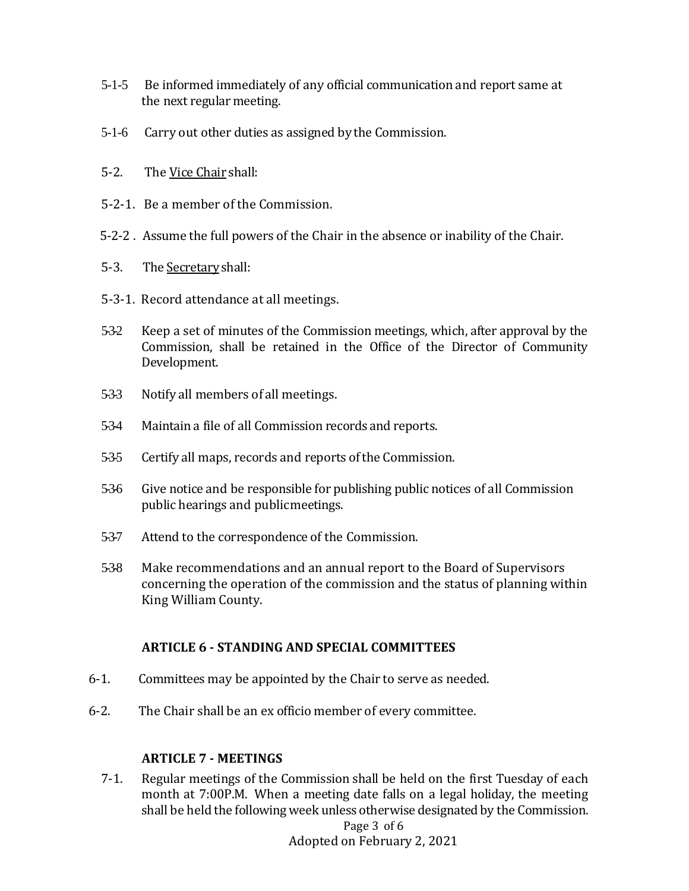- 5-1-5 Be informed immediately of any official communication and report same at the next regular meeting.
- 5-1-6 Carry out other duties as assigned by the Commission.
- 5-2. The Vice Chair shall:
- 5-2-1. Be a member of the Commission.
- 5-2-2 . Assume the full powers of the Chair in the absence or inability of the Chair.
- 5-3. The Secretary shall:
- 5-3-1. Record attendance at all meetings.
- 5-3-2 Keep a set of minutes of the Commission meetings, which, after approval by the Commission, shall be retained in the Office of the Director of Community Development.
- 5-3-3 Notify all members of all meetings.
- 534 Maintain a file of all Commission records and reports.
- 5-35 Certify all maps, records and reports of the Commission.
- 5-3-6 Give notice and be responsible for publishing public notices of all Commission public hearings and publicmeetings.
- 5-3-7 Attend to the correspondence of the Commission.
- 538 Make recommendations and an annual report to the Board of Supervisors concerning the operation of the commission and the status of planning within King William County.

#### **ARTICLE 6 - STANDING AND SPECIAL COMMITTEES**

- 6-1. Committees may be appointed by the Chair to serve as needed.
- 6-2. The Chair shall be an ex officio member of every committee.

#### **ARTICLE 7 - MEETINGS**

Page 3 of 6 7-1. Regular meetings of the Commission shall be held on the first Tuesday of each month at 7:00P.M. When a meeting date falls on a legal holiday, the meeting shall be held the following week unless otherwise designated by the Commission.

Adopted on February 2, 2021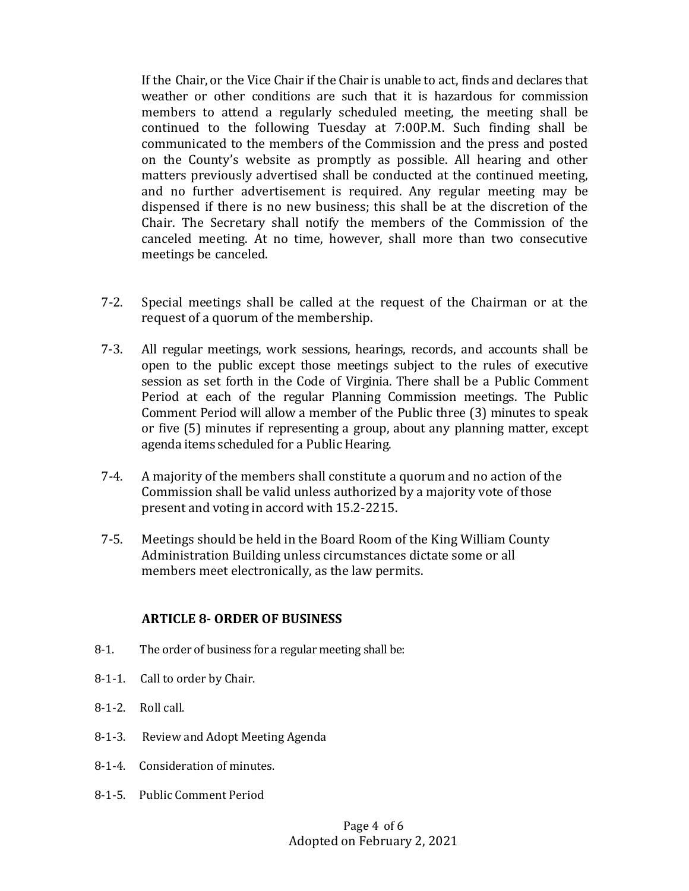If the Chair, or the Vice Chair if the Chair is unable to act, finds and declares that weather or other conditions are such that it is hazardous for commission members to attend a regularly scheduled meeting, the meeting shall be continued to the following Tuesday at 7:00P.M. Such finding shall be communicated to the members of the Commission and the press and posted on the County's website as promptly as possible. All hearing and other matters previously advertised shall be conducted at the continued meeting, and no further advertisement is required. Any regular meeting may be dispensed if there is no new business; this shall be at the discretion of the Chair. The Secretary shall notify the members of the Commission of the canceled meeting. At no time, however, shall more than two consecutive meetings be canceled.

- 7-2. Special meetings shall be called at the request of the Chairman or at the request of a quorum of the membership.
- 7-3. All regular meetings, work sessions, hearings, records, and accounts shall be open to the public except those meetings subject to the rules of executive session as set forth in the Code of Virginia. There shall be a Public Comment Period at each of the regular Planning Commission meetings. The Public Comment Period will allow a member of the Public three (3) minutes to speak or five (5) minutes if representing a group, about any planning matter, except agenda items scheduled for a Public Hearing.
- 7-4. A majority of the members shall constitute a quorum and no action of the Commission shall be valid unless authorized by a majority vote of those present and voting in accord with 15.2-2215.
- 7-5. Meetings should be held in the Board Room of the King William County Administration Building unless circumstances dictate some or all members meet electronically, as the law permits.

#### **ARTICLE 8- ORDER OF BUSINESS**

- 8-1. The order of business for a regular meeting shall be:
- 8-1-1. Call to order by Chair.
- 8-1-2. Roll call.
- 8-1-3. Review and Adopt Meeting Agenda
- 8-1-4. Consideration of minutes.
- 8-1-5. Public Comment Period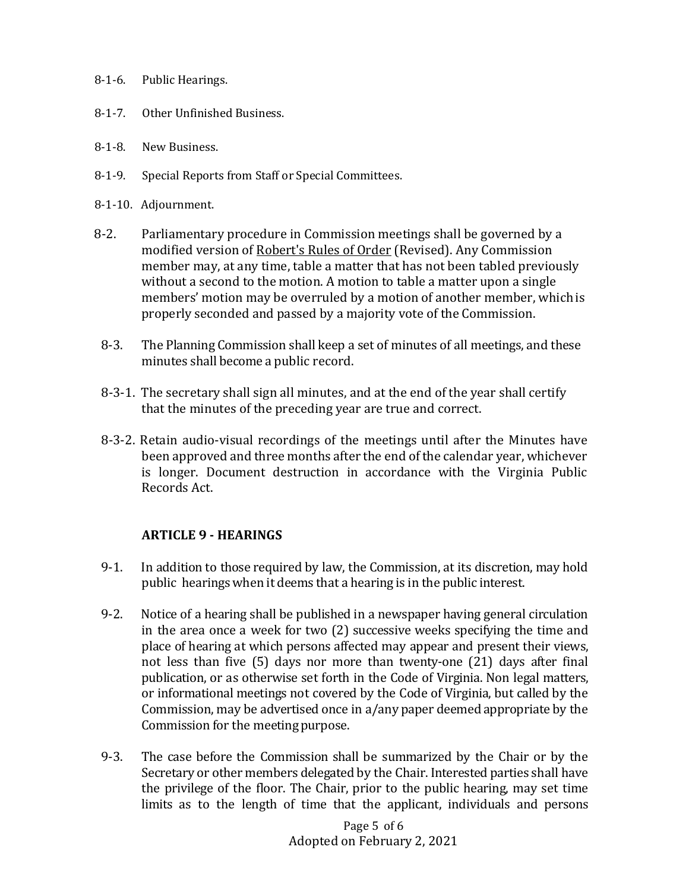- 8-1-6. Public Hearings.
- 8-1-7. Other Unfinished Business.
- 8-1-8. New Business.
- 8-1-9. Special Reports from Staff or Special Committees.
- 8-1-10. Adjournment.
- 8-2. Parliamentary procedure in Commission meetings shall be governed by a modified version of Robert's Rules of Order (Revised). Any Commission member may, at any time, table a matter that has not been tabled previously without a second to the motion. A motion to table a matter upon a single members' motion may be overruled by a motion of another member, whichis properly seconded and passed by a majority vote of the Commission.
	- 8-3. The Planning Commission shall keep a set of minutes of all meetings, and these minutes shall become a public record.
	- 8-3-1. The secretary shall sign all minutes, and at the end of the year shall certify that the minutes of the preceding year are true and correct.
	- 8-3-2. Retain audio-visual recordings of the meetings until after the Minutes have been approved and three months after the end of the calendar year, whichever is longer. Document destruction in accordance with the Virginia Public Records Act.

#### **ARTICLE 9 - HEARINGS**

- 9-1. In addition to those required by law, the Commission, at its discretion, may hold public hearings when it deems that a hearing is in the public interest.
- 9-2. Notice of a hearing shall be published in a newspaper having general circulation in the area once a week for two (2) successive weeks specifying the time and place of hearing at which persons affected may appear and present their views, not less than five (5) days nor more than twenty-one (21) days after final publication, or as otherwise set forth in the Code of Virginia. Non legal matters, or informational meetings not covered by the Code of Virginia, but called by the Commission, may be advertised once in a/any paper deemed appropriate by the Commission for the meeting purpose.
- 9-3. The case before the Commission shall be summarized by the Chair or by the Secretary or other members delegated by the Chair. Interested parties shall have the privilege of the floor. The Chair, prior to the public hearing, may set time limits as to the length of time that the applicant, individuals and persons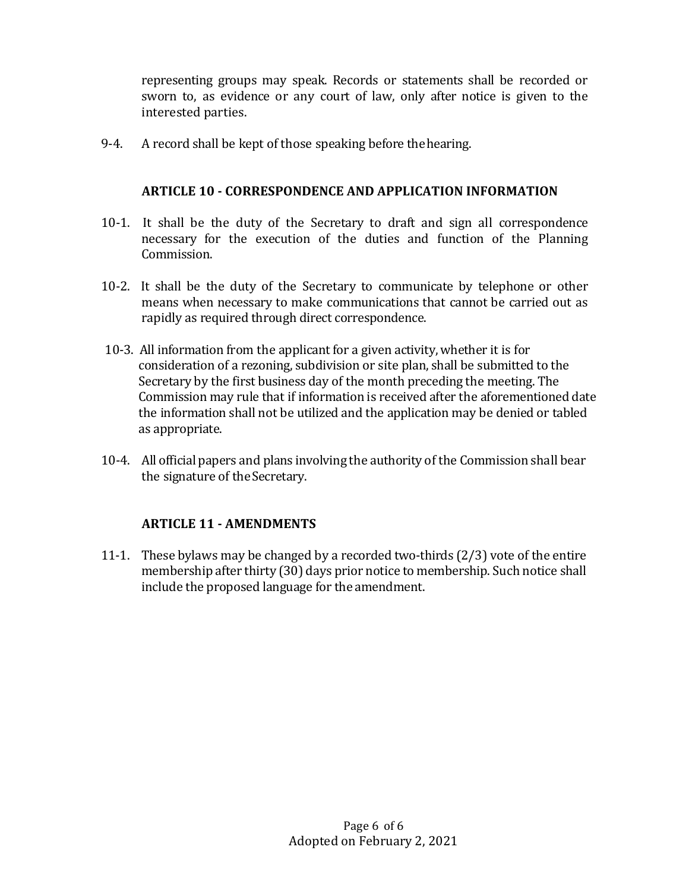representing groups may speak. Records or statements shall be recorded or sworn to, as evidence or any court of law, only after notice is given to the interested parties.

9-4. A record shall be kept of those speaking before thehearing.

#### **ARTICLE 10 - CORRESPONDENCE AND APPLICATION INFORMATION**

- 10-1. It shall be the duty of the Secretary to draft and sign all correspondence necessary for the execution of the duties and function of the Planning Commission.
- 10-2. It shall be the duty of the Secretary to communicate by telephone or other means when necessary to make communications that cannot be carried out as rapidly as required through direct correspondence.
- 10-3. All information from the applicant for a given activity, whether it is for consideration of a rezoning, subdivision or site plan, shall be submitted to the Secretary by the first business day of the month preceding the meeting. The Commission may rule that if information is received after the aforementioned date the information shall not be utilized and the application may be denied or tabled as appropriate.
- 10-4. All official papers and plans involving the authority of the Commission shall bear the signature of theSecretary.

#### **ARTICLE 11 - AMENDMENTS**

11-1. These bylaws may be changed by a recorded two-thirds (2/3) vote of the entire membership after thirty (30) days prior notice to membership. Such notice shall include the proposed language for the amendment.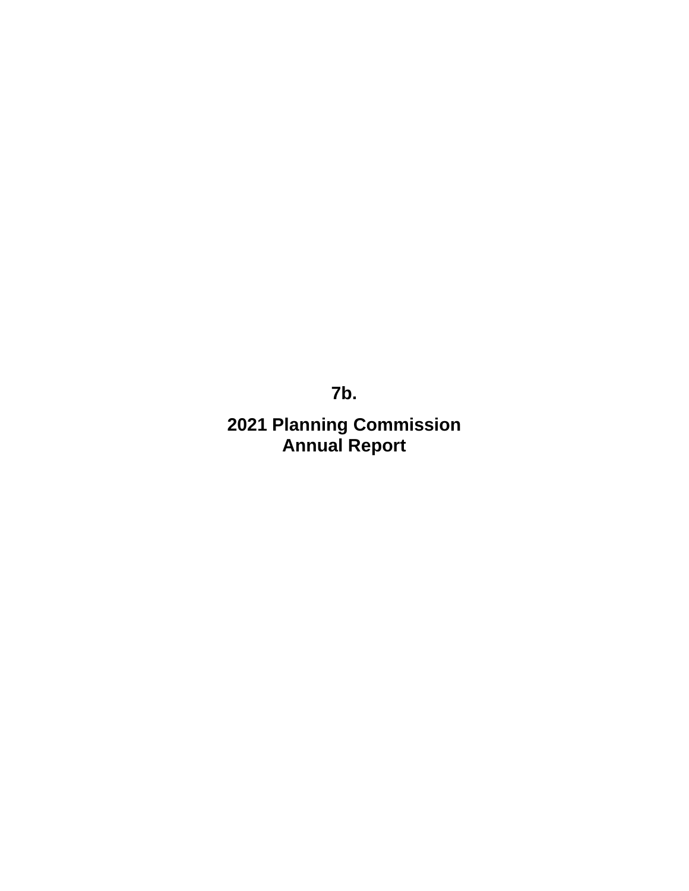**7b.**

**2021 Planning Commission Annual Report**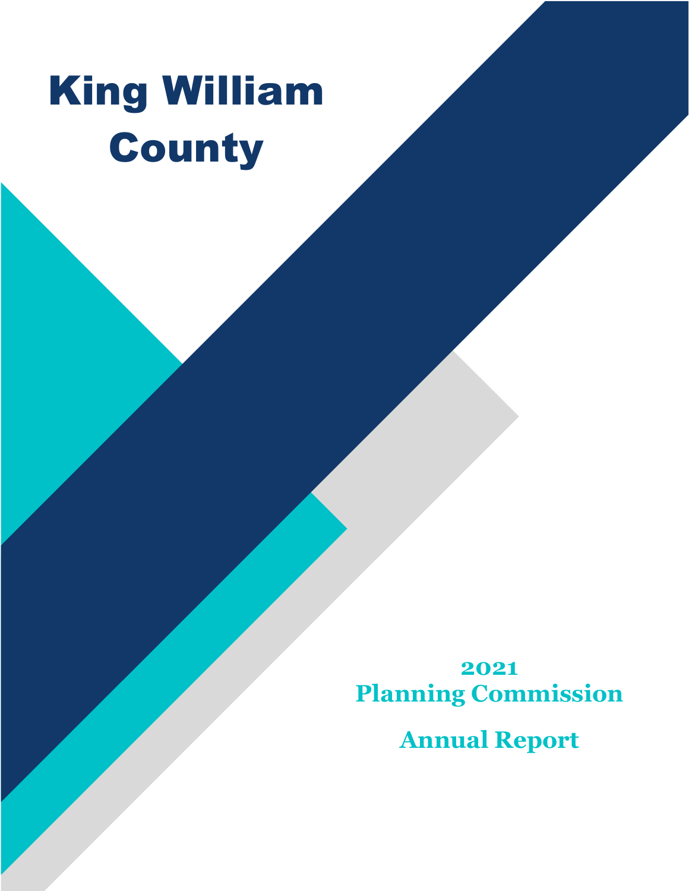# King William County

**2021 Planning Commission**

**Annual Report**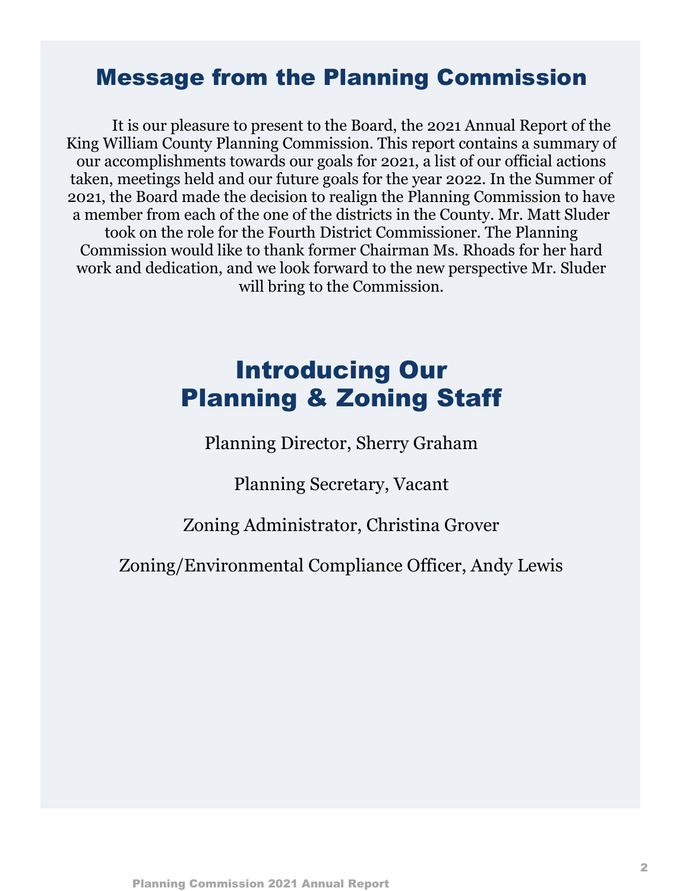### Message from the Planning Commission

It is our pleasure to present to the Board, the 2021 Annual Report of the King William County Planning Commission. This report contains a summary of our accomplishments towards our goals for 2021, a list of our official actions taken, meetings held and our future goals for the year 2022. In the Summer of 2021, the Board made the decision to realign the Planning Commission to have a member from each of the one of the districts in the County. Mr. Matt Sluder took on the role for the Fourth District Commissioner. The Planning Commission would like to thank former Chairman Ms. Rhoads for her hard work and dedication, and we look forward to the new perspective Mr. Sluder will bring to the Commission.

### Introducing Our Planning & Zoning Staff

Planning Director, Sherry Graham

Planning Secretary, Vacant

Zoning Administrator, Christina Grover

Zoning/Environmental Compliance Officer, Andy Lewis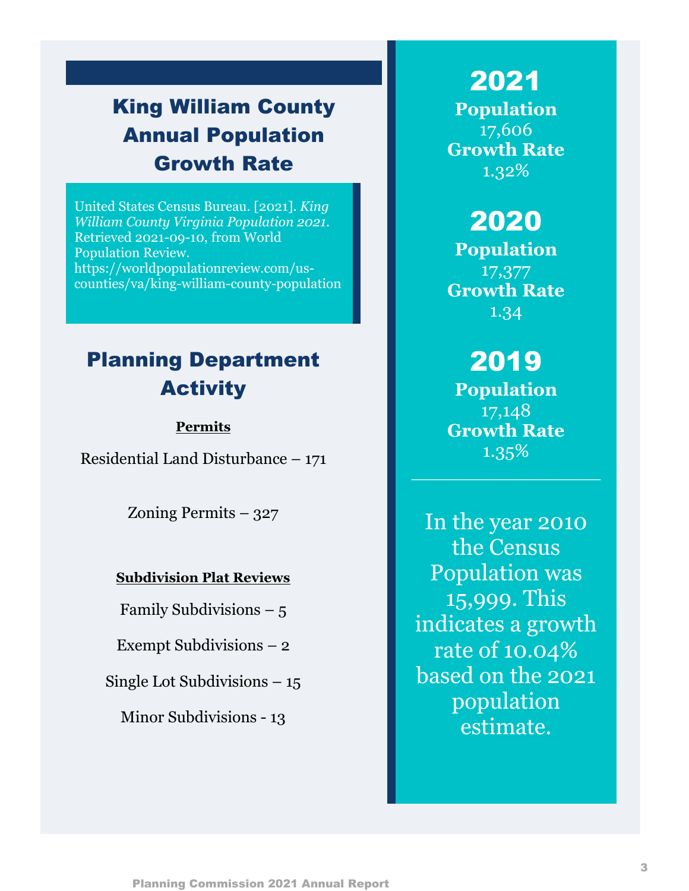### King William County Annual Population Growth Rate

United States Census Bureau. [2021]. *King William County Virginia Population 2021.*  Retrieved 2021-09-10, from World Population Review. https://worldpopulationreview.com/uscounties/va/king-william-county-population

### Planning Department Activity

#### **Permits**

Residential Land Disturbance – 171

Zoning Permits – 327

#### **Subdivision Plat Reviews**

Family Subdivisions  $-5$ 

Exempt Subdivisions – 2

Single Lot Subdivisions – 15

Minor Subdivisions - 13

### 2021

**Population** 17,606 **Growth Rate** 1.32%

### 2020

**Population** 17,377 **Growth Rate** 1.34

### 2019

**Population** 17,148 **Growth Rate** 1.35%

In the year 2010 the Census Population was 15,999. This indicates a growth rate of 10.04% based on the 2021 population estimate.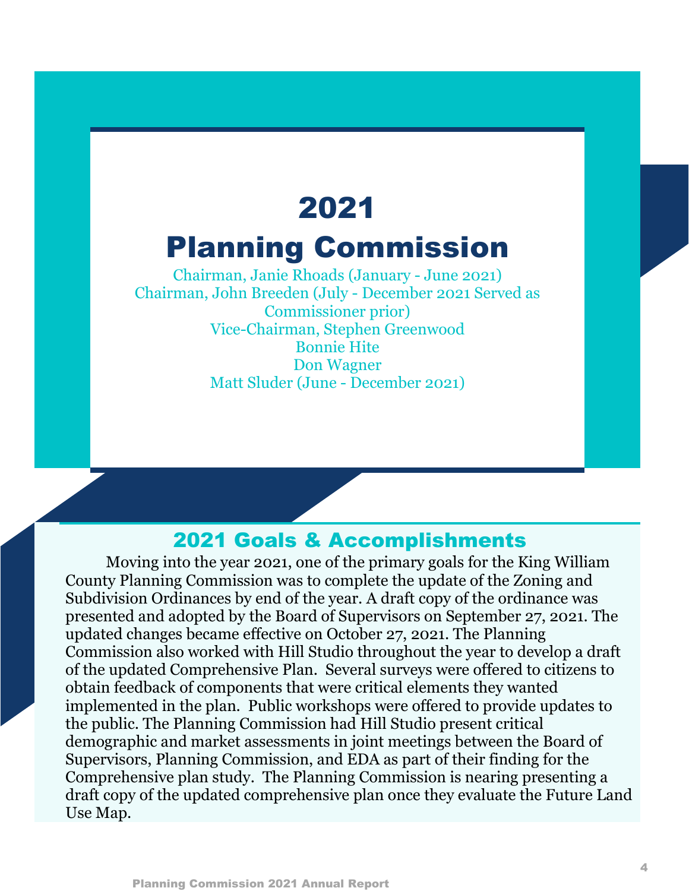# 2021 Planning Commission

Chairman, Janie Rhoads (January - June 2021) Chairman, John Breeden (July - December 2021 Served as Commissioner prior) Vice-Chairman, Stephen Greenwood Bonnie Hite Don Wagner Matt Sluder (June - December 2021)

### 2021 Goals & Accomplishments

Moving into the year 2021, one of the primary goals for the King William County Planning Commission was to complete the update of the Zoning and Subdivision Ordinances by end of the year. A draft copy of the ordinance was presented and adopted by the Board of Supervisors on September 27, 2021. The updated changes became effective on October 27, 2021. The Planning Commission also worked with Hill Studio throughout the year to develop a draft of the updated Comprehensive Plan. Several surveys were offered to citizens to obtain feedback of components that were critical elements they wanted implemented in the plan. Public workshops were offered to provide updates to the public. The Planning Commission had Hill Studio present critical demographic and market assessments in joint meetings between the Board of Supervisors, Planning Commission, and EDA as part of their finding for the Comprehensive plan study. The Planning Commission is nearing presenting a draft copy of the updated comprehensive plan once they evaluate the Future Land Use Map.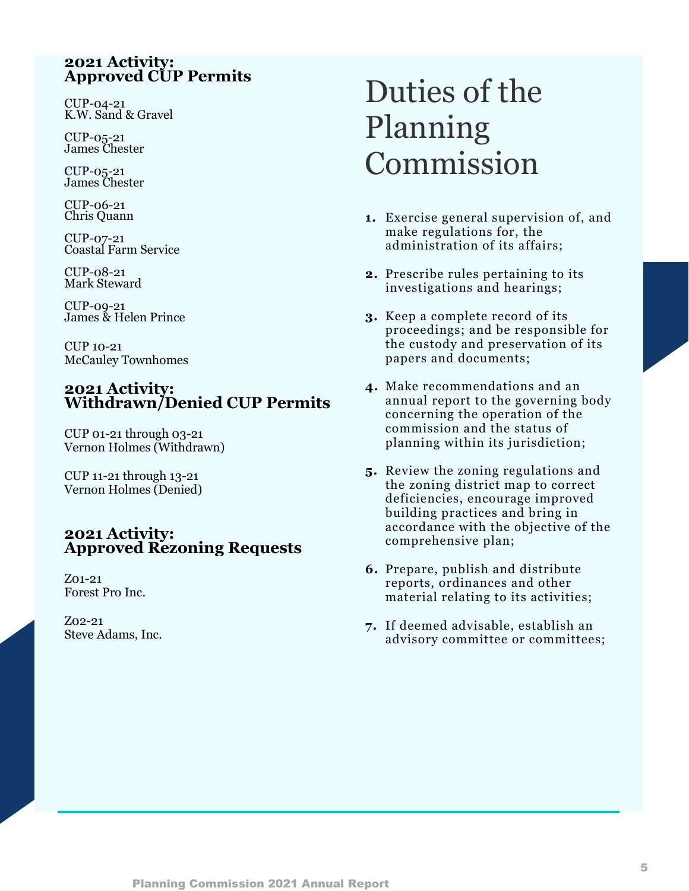#### **2021 Activity: Approved CUP Permits**

CUP-04-21 K.W. Sand & Gravel

CUP-05-21 James Chester

CUP-05-21 James Chester

CUP-06-21 Chris Quann

CUP-07-21 Coastal Farm Service

CUP-08-21 Mark Steward

CUP-09-21 James & Helen Prince

CUP 10-21 McCauley Townhomes

#### **2021 Activity: Withdrawn/Denied CUP Permits**

CUP 01-21 through 03-21 Vernon Holmes (Withdrawn)

CUP 11-21 through 13-21 Vernon Holmes (Denied)

#### **2021 Activity: Approved Rezoning Requests**

Z01-21 Forest Pro Inc.

Z02-21 Steve Adams, Inc.

# Duties of the Planning Commission

- **1.** Exercise general supervision of, and make regulations for, the administration of its affairs;
- **2.** Prescribe rules pertaining to its investigations and hearings;
- **3.** Keep a complete record of its proceedings; and be responsible for the custody and preservation of its papers and documents;
- **4.** Make recommendations and an annual report to the governing body concerning the operation of the commission and the status of planning within its jurisdiction;
- **5.** Review the zoning regulations and the zoning district map to correct deficiencies, encourage improved building practices and bring in accordance with the objective of the comprehensive plan;
- **6.** Prepare, publish and distribute reports, ordinances and other material relating to its activities;
- **7.** If deemed advisable, establish an advisory committee or committees;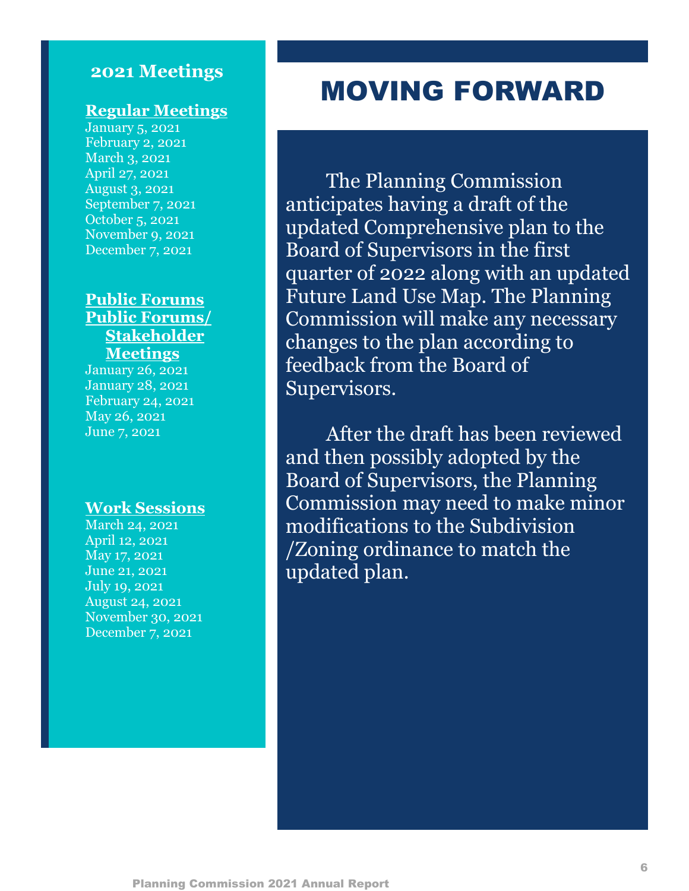### **2021 Meetings**

#### **Regular Meetings**

January 5, 2021 February 2, 2021 March 3, 2021 April 27, 2021 August 3, 2021 September 7, 2021 October 5, 2021 November 9, 2021 December 7, 2021

#### **Public Forums Public Forums/ Stakeholder Meetings**

January 26, 2021 January 28, 2021 February 24, 2021 May 26, 2021 June 7, 2021

#### **Work Sessions**

March 24, 2021 April 12, 2021 May 17, 2021 June 21, 2021 July 19, 2021 August 24, 2021 November 30, 2021 December 7, 2021

### MOVING FORWARD

The Planning Commission anticipates having a draft of the updated Comprehensive plan to the Board of Supervisors in the first quarter of 2022 along with an updated Future Land Use Map. The Planning Commission will make any necessary changes to the plan according to feedback from the Board of Supervisors.

After the draft has been reviewed and then possibly adopted by the Board of Supervisors, the Planning Commission may need to make minor modifications to the Subdivision /Zoning ordinance to match the updated plan.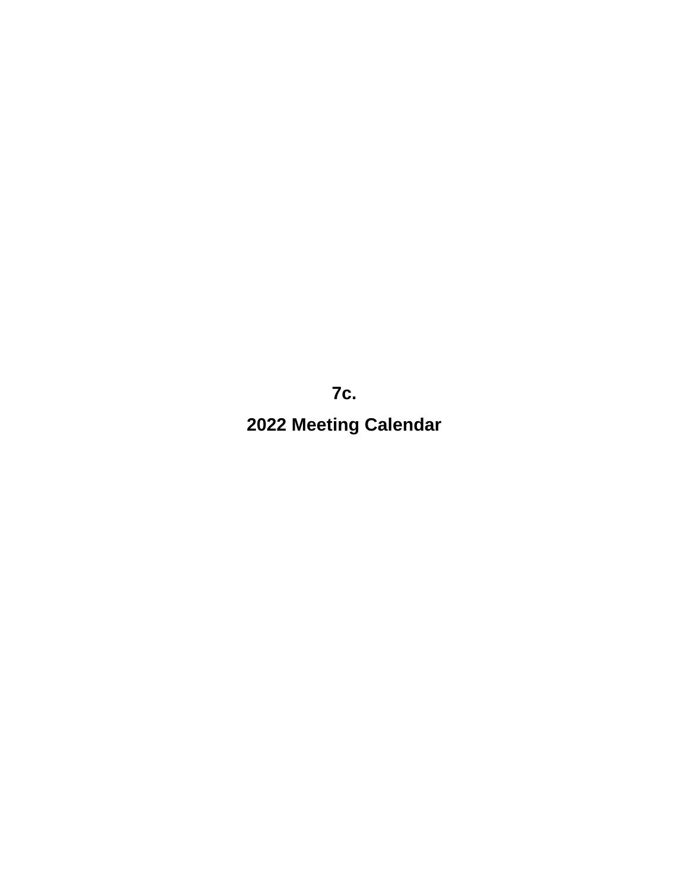**7c. 2022 Meeting Calendar**